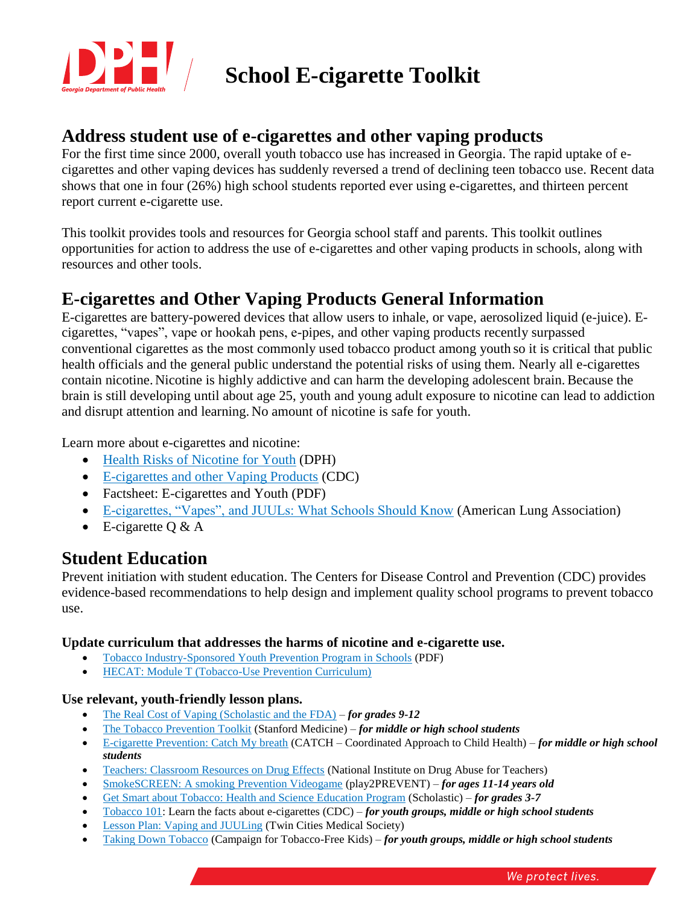

# **THE RESEARCE SCHOOL E-cigarette Toolkit**

# **Address student use of e-cigarettes and other vaping products**

For the first time since 2000, overall youth tobacco use has increased in Georgia. The rapid uptake of ecigarettes and other vaping devices has suddenly reversed a trend of declining teen tobacco use. Recent data shows that one in four (26%) high school students reported ever using e-cigarettes, and thirteen percent report current e-cigarette use.

This toolkit provides tools and resources for Georgia school staff and parents. This toolkit outlines opportunities for action to address the use of e-cigarettes and other vaping products in schools, along with resources and other tools.

## **E-cigarettes and Other Vaping Products General Information**

E-cigarettes are battery-powered devices that allow users to inhale, or vape, aerosolized liquid (e-juice). Ecigarettes, "vapes", vape or hookah pens, e-pipes, and other vaping products recently surpassed conventional cigarettes as the most commonly used tobacco product among youth so it is critical that public health officials and the general public understand the potential risks of using them. Nearly all e-cigarettes contain nicotine. Nicotine is highly addictive and can harm the developing adolescent brain. Because the brain is still developing until about age 25, youth and young adult exposure to nicotine can lead to addiction and disrupt attention and learning. No amount of nicotine is safe for youth.

Learn more about e-cigarettes and nicotine:

- [Health Risks of Nicotine for Youth](https://dph.georgia.gov/blog/2016-12-16/e-cigarette-use-among-youth-public-health-threat-know-risks-and-how-get-help-quit) (DPH)
- [E-cigarettes and other Vaping Products](https://www.cdc.gov/tobacco/basic_information/e-cigarettes/index.htm) (CDC)
- Factsheet: E-cigarettes and Youth (PDF)
- [E-cigarettes, "Vapes", and JUULs: What Schools Should Know](https://www.lung.org/stop-smoking/smoking-facts/e-cigarettes-schools.html) (American Lung Association)
- E-cigarette  $Q \& A$

## **Student Education**

Prevent initiation with student education. The Centers for Disease Control and Prevention (CDC) provides evidence-based recommendations to help design and implement quality school programs to prevent tobacco use.

#### **Update curriculum that addresses the harms of nicotine and e-cigarette use.**

- [Tobacco Industry-Sponsored Youth Prevention Program in Schools](https://www.voorheesville.org/site/handlers/filedownload.ashx?moduleinstanceid=538&dataid=1802&FileName=Tobacco%20industry%20sponsored%20youth%20prevention%20programsCDC.pdf) (PDF)
- [HECAT: Module T \(Tobacco-Use Prevention Curriculum\)](https://www.cdc.gov/healthyyouth/hecat/pdf/HECAT_Module_T.pdf)

#### **Use relevant, youth-friendly lesson plans.**

- [The Real Cost of Vaping \(Scholastic and the FDA\)](http://www.scholastic.com/youthvapingrisks/) *for grades 9-12*
- [The Tobacco Prevention Toolkit](https://med.stanford.edu/tobaccopreventiontoolkit/E-Cigs.html) (Stanford Medicine) *for middle or high school students*
- [E-cigarette Prevention: Catch My breath](https://catchinfo.org/modules/e-cigarettes/) (CATCH Coordinated Approach to Child Health) *for middle or high school students*
- [Teachers: Classroom Resources on Drug Effects](http://headsup.scholastic.com/teachers/ecigarettes) (National Institute on Drug Abuse for Teachers)
- [SmokeSCREEN: A smoking Prevention Videogame](https://www.smokescreengame.org/) (play2PREVENT) *for ages 11-14 years old*
- [Get Smart about Tobacco: Health and Science Education Program](http://www.scholastic.com/get_smart_about_tobacco/) (Scholastic) *for grades 3-7*
- [Tobacco 101:](https://www.cdc.gov/tobacco/basic_information/e-cigarettes/Quick-Facts-on-the-Risks-of-E-cigarettes-for-Kids-Teens-and-Young-Adults.html) Learn the facts about e-cigarettes (CDC) *for youth groups, middle or high school students*
- [Lesson Plan: Vaping and JUULing](https://static1.squarespace.com/static/5759add08a65e2dfe9ee213c/t/5c8135b3b208fc530a4ff6ed/1551971769092/Vaping+and+JUULing+Slides+2019.pdf) (Twin Cities Medical Society)
- [Taking Down Tobacco](https://www.takingdowntobacco.org/main/about) (Campaign for Tobacco-Free Kids) *for youth groups, middle or high school students*